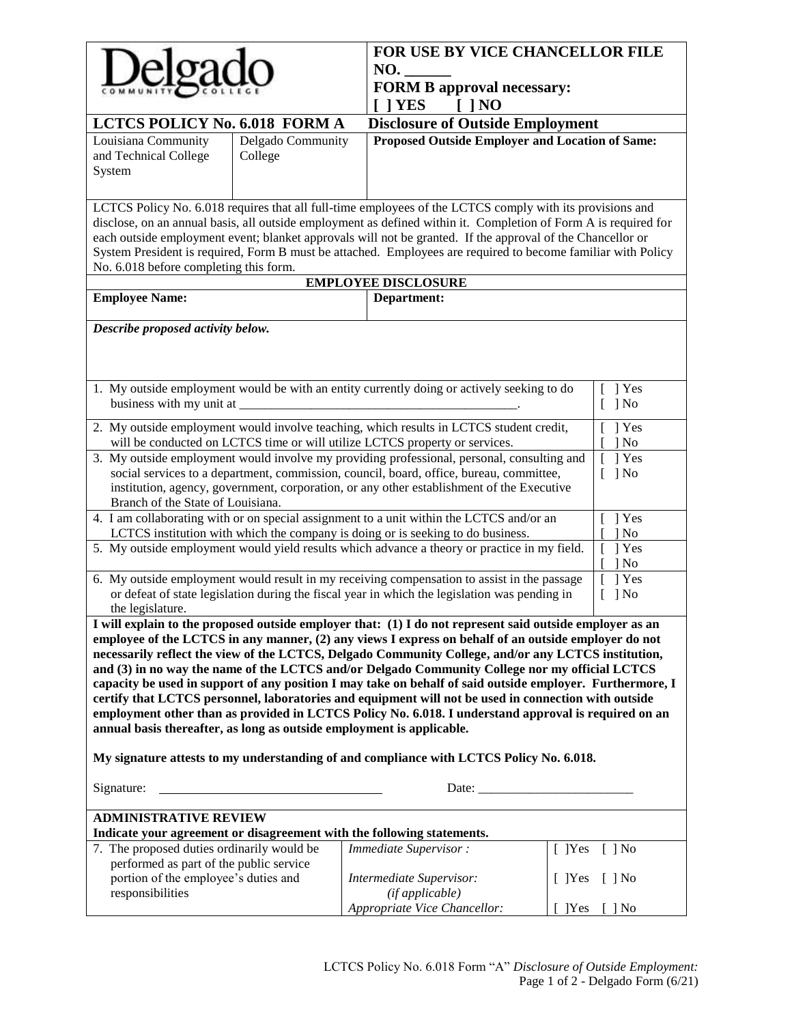| FOR USE BY VICE CHANCELLOR FILE<br>NO.<br><b>FORM B approval necessary:</b><br>$[1]$ NO<br>$\lceil$   YES                                                                                                                                                                                                                                                                                                                                                                                                                                                                                                                                                                                                                                                                                                                                                                                                                  |                                                                                                                           |                      |  |  |  |
|----------------------------------------------------------------------------------------------------------------------------------------------------------------------------------------------------------------------------------------------------------------------------------------------------------------------------------------------------------------------------------------------------------------------------------------------------------------------------------------------------------------------------------------------------------------------------------------------------------------------------------------------------------------------------------------------------------------------------------------------------------------------------------------------------------------------------------------------------------------------------------------------------------------------------|---------------------------------------------------------------------------------------------------------------------------|----------------------|--|--|--|
| LCTCS POLICY No. 6.018 FORM A                                                                                                                                                                                                                                                                                                                                                                                                                                                                                                                                                                                                                                                                                                                                                                                                                                                                                              | <b>Disclosure of Outside Employment</b>                                                                                   |                      |  |  |  |
| Delgado Community<br>Louisiana Community<br>and Technical College<br>College<br>System                                                                                                                                                                                                                                                                                                                                                                                                                                                                                                                                                                                                                                                                                                                                                                                                                                     | Proposed Outside Employer and Location of Same:                                                                           |                      |  |  |  |
| LCTCS Policy No. 6.018 requires that all full-time employees of the LCTCS comply with its provisions and<br>disclose, on an annual basis, all outside employment as defined within it. Completion of Form A is required for<br>each outside employment event; blanket approvals will not be granted. If the approval of the Chancellor or<br>System President is required, Form B must be attached. Employees are required to become familiar with Policy<br>No. 6.018 before completing this form.                                                                                                                                                                                                                                                                                                                                                                                                                        |                                                                                                                           |                      |  |  |  |
|                                                                                                                                                                                                                                                                                                                                                                                                                                                                                                                                                                                                                                                                                                                                                                                                                                                                                                                            | <b>EMPLOYEE DISCLOSURE</b>                                                                                                |                      |  |  |  |
| <b>Employee Name:</b>                                                                                                                                                                                                                                                                                                                                                                                                                                                                                                                                                                                                                                                                                                                                                                                                                                                                                                      | Department:                                                                                                               |                      |  |  |  |
| Describe proposed activity below.<br>1 Yes                                                                                                                                                                                                                                                                                                                                                                                                                                                                                                                                                                                                                                                                                                                                                                                                                                                                                 |                                                                                                                           |                      |  |  |  |
| 1. My outside employment would be with an entity currently doing or actively seeking to do<br>business with my unit at                                                                                                                                                                                                                                                                                                                                                                                                                                                                                                                                                                                                                                                                                                                                                                                                     |                                                                                                                           | $\lceil \ \rceil$ No |  |  |  |
| 2. My outside employment would involve teaching, which results in LCTCS student credit,<br>$[$   Yes<br>will be conducted on LCTCS time or will utilize LCTCS property or services.<br>$\log$                                                                                                                                                                                                                                                                                                                                                                                                                                                                                                                                                                                                                                                                                                                              |                                                                                                                           |                      |  |  |  |
| 3. My outside employment would involve my providing professional, personal, consulting and<br>1 Yes<br>social services to a department, commission, council, board, office, bureau, committee,<br>$\lceil \ \rceil$ No<br>institution, agency, government, corporation, or any other establishment of the Executive<br>Branch of the State of Louisiana.                                                                                                                                                                                                                                                                                                                                                                                                                                                                                                                                                                   |                                                                                                                           |                      |  |  |  |
| 4. I am collaborating with or on special assignment to a unit within the LCTCS and/or an<br>1 Yes<br>LCTCS institution with which the company is doing or is seeking to do business.<br>$\log$                                                                                                                                                                                                                                                                                                                                                                                                                                                                                                                                                                                                                                                                                                                             |                                                                                                                           |                      |  |  |  |
|                                                                                                                                                                                                                                                                                                                                                                                                                                                                                                                                                                                                                                                                                                                                                                                                                                                                                                                            | 5. My outside employment would yield results which advance a theory or practice in my field.<br>$[$ ] Yes<br>$\log$<br>T. |                      |  |  |  |
| $[$   Yes<br>6. My outside employment would result in my receiving compensation to assist in the passage<br>or defeat of state legislation during the fiscal year in which the legislation was pending in<br>$\lceil \ \rceil$ No<br>the legislature.                                                                                                                                                                                                                                                                                                                                                                                                                                                                                                                                                                                                                                                                      |                                                                                                                           |                      |  |  |  |
| I will explain to the proposed outside employer that: (1) I do not represent said outside employer as an<br>employee of the LCTCS in any manner, (2) any views I express on behalf of an outside employer do not<br>necessarily reflect the view of the LCTCS, Delgado Community College, and/or any LCTCS institution,<br>and (3) in no way the name of the LCTCS and/or Delgado Community College nor my official LCTCS<br>capacity be used in support of any position I may take on behalf of said outside employer. Furthermore, I<br>certify that LCTCS personnel, laboratories and equipment will not be used in connection with outside<br>employment other than as provided in LCTCS Policy No. 6.018. I understand approval is required on an<br>annual basis thereafter, as long as outside employment is applicable.<br>My signature attests to my understanding of and compliance with LCTCS Policy No. 6.018. |                                                                                                                           |                      |  |  |  |
| Signature:<br>Date: the contract of the contract of the contract of the contract of the contract of the contract of the contract of the contract of the contract of the contract of the contract of the contract of the contract of the cont                                                                                                                                                                                                                                                                                                                                                                                                                                                                                                                                                                                                                                                                               |                                                                                                                           |                      |  |  |  |
| <b>ADMINISTRATIVE REVIEW</b>                                                                                                                                                                                                                                                                                                                                                                                                                                                                                                                                                                                                                                                                                                                                                                                                                                                                                               |                                                                                                                           |                      |  |  |  |
| Indicate your agreement or disagreement with the following statements.                                                                                                                                                                                                                                                                                                                                                                                                                                                                                                                                                                                                                                                                                                                                                                                                                                                     |                                                                                                                           |                      |  |  |  |
| 7. The proposed duties ordinarily would be<br>performed as part of the public service                                                                                                                                                                                                                                                                                                                                                                                                                                                                                                                                                                                                                                                                                                                                                                                                                                      | Immediate Supervisor:                                                                                                     | $[$ ]Yes<br>$[ ]$ No |  |  |  |
| portion of the employee's duties and<br>responsibilities                                                                                                                                                                                                                                                                                                                                                                                                                                                                                                                                                                                                                                                                                                                                                                                                                                                                   | Intermediate Supervisor:<br>(ifappliedble)                                                                                | $[ ]$ No<br>$[$ ]Yes |  |  |  |
|                                                                                                                                                                                                                                                                                                                                                                                                                                                                                                                                                                                                                                                                                                                                                                                                                                                                                                                            | Appropriate Vice Chancellor:                                                                                              | $[$ ]Yes $[$ ] No    |  |  |  |